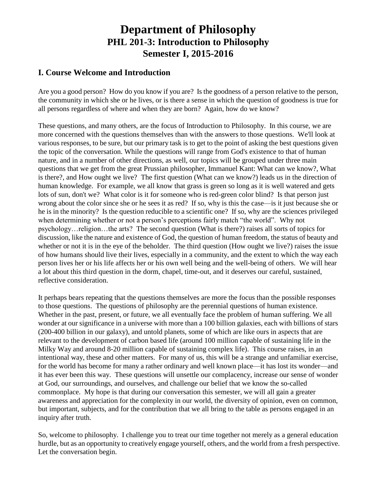# **Department of Philosophy PHL 201-3: Introduction to Philosophy Semester I, 2015-2016**

## **I. Course Welcome and Introduction**

Are you a good person? How do you know if you are? Is the goodness of a person relative to the person, the community in which she or he lives, or is there a sense in which the question of goodness is true for all persons regardless of where and when they are born? Again, how do we know?

These questions, and many others, are the focus of Introduction to Philosophy. In this course, we are more concerned with the questions themselves than with the answers to those questions. We'll look at various responses, to be sure, but our primary task is to get to the point of asking the best questions given the topic of the conversation. While the questions will range from God's existence to that of human nature, and in a number of other directions, as well, our topics will be grouped under three main questions that we get from the great Prussian philosopher, Immanuel Kant: What can we know?, What is there?, and How ought we live? The first question (What can we know?) leads us in the direction of human knowledge. For example, we all know that grass is green so long as it is well watered and gets lots of sun, don't we? What color is it for someone who is red-green color blind? Is that person just wrong about the color since she or he sees it as red? If so, why is this the case—is it just because she or he is in the minority? Is the question reducible to a scientific one? If so, why are the sciences privileged when determining whether or not a person's perceptions fairly match "the world". Why not psychology…religion…the arts? The second question (What is there?) raises all sorts of topics for discussion, like the nature and existence of God, the question of human freedom, the status of beauty and whether or not it is in the eye of the beholder. The third question (How ought we live?) raises the issue of how humans should live their lives, especially in a community, and the extent to which the way each person lives her or his life affects her or his own well being and the well-being of others. We will hear a lot about this third question in the dorm, chapel, time-out, and it deserves our careful, sustained, reflective consideration.

It perhaps bears repeating that the questions themselves are more the focus than the possible responses to those questions. The questions of philosophy are the perennial questions of human existence. Whether in the past, present, or future, we all eventually face the problem of human suffering. We all wonder at our significance in a universe with more than a 100 billion galaxies, each with billions of stars (200-400 billion in our galaxy), and untold planets, some of which are like ours in aspects that are relevant to the development of carbon based life (around 100 million capable of sustaining life in the Milky Way and around 8-20 million capable of sustaining complex life). This course raises, in an intentional way, these and other matters. For many of us, this will be a strange and unfamiliar exercise, for the world has become for many a rather ordinary and well known place—it has lost its wonder—and it has ever been this way. These questions will unsettle our complacency, increase our sense of wonder at God, our surroundings, and ourselves, and challenge our belief that we know the so-called commonplace. My hope is that during our conversation this semester, we will all gain a greater awareness and appreciation for the complexity in our world, the diversity of opinion, even on common, but important, subjects, and for the contribution that we all bring to the table as persons engaged in an inquiry after truth.

So, welcome to philosophy. I challenge you to treat our time together not merely as a general education hurdle, but as an opportunity to creatively engage yourself, others, and the world from a fresh perspective. Let the conversation begin.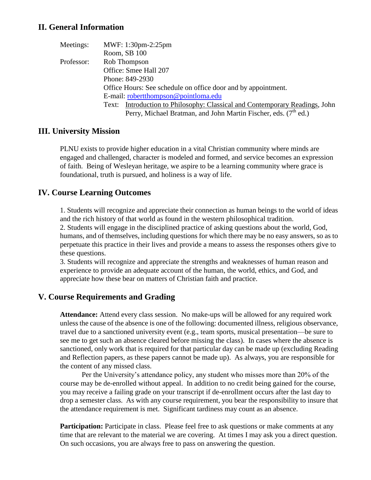### **II. General Information**

| Meetings:  | MWF: 1:30pm-2:25pm                                                          |
|------------|-----------------------------------------------------------------------------|
|            | Room, SB 100                                                                |
| Professor: | Rob Thompson                                                                |
|            | Office: Smee Hall 207                                                       |
|            | Phone: 849-2930                                                             |
|            | Office Hours: See schedule on office door and by appointment.               |
|            | E-mail: robertthompson@pointloma.edu                                        |
|            | Text: Introduction to Philosophy: Classical and Contemporary Readings, John |
|            | Perry, Michael Bratman, and John Martin Fischer, eds. (7 <sup>th</sup> ed.) |

#### **III. University Mission**

PLNU exists to provide higher education in a vital Christian community where minds are engaged and challenged, character is modeled and formed, and service becomes an expression of faith. Being of Wesleyan heritage, we aspire to be a learning community where grace is foundational, truth is pursued, and holiness is a way of life.

## **IV. Course Learning Outcomes**

1. Students will recognize and appreciate their connection as human beings to the world of ideas and the rich history of that world as found in the western philosophical tradition.

2. Students will engage in the disciplined practice of asking questions about the world, God, humans, and of themselves, including questions for which there may be no easy answers, so as to perpetuate this practice in their lives and provide a means to assess the responses others give to these questions.

3. Students will recognize and appreciate the strengths and weaknesses of human reason and experience to provide an adequate account of the human, the world, ethics, and God, and appreciate how these bear on matters of Christian faith and practice.

#### **V. Course Requirements and Grading**

**Attendance:** Attend every class session. No make-ups will be allowed for any required work unless the cause of the absence is one of the following: documented illness, religious observance, travel due to a sanctioned university event (e.g., team sports, musical presentation—be sure to see me to get such an absence cleared before missing the class). In cases where the absence is sanctioned, only work that is required for that particular day can be made up (excluding Reading and Reflection papers, as these papers cannot be made up). As always, you are responsible for the content of any missed class.

Per the University's attendance policy, any student who misses more than 20% of the course may be de-enrolled without appeal. In addition to no credit being gained for the course, you may receive a failing grade on your transcript if de-enrollment occurs after the last day to drop a semester class. As with any course requirement, you bear the responsibility to insure that the attendance requirement is met. Significant tardiness may count as an absence.

**Participation:** Participate in class. Please feel free to ask questions or make comments at any time that are relevant to the material we are covering. At times I may ask you a direct question. On such occasions, you are always free to pass on answering the question.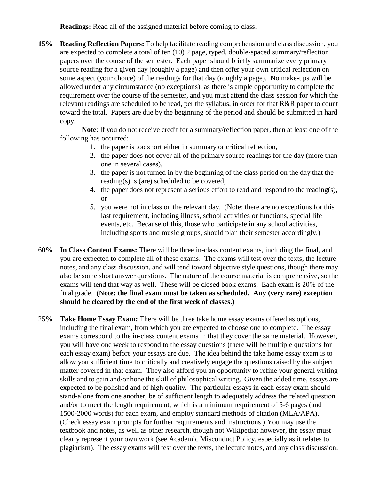**Readings:** Read all of the assigned material before coming to class.

**15% Reading Reflection Papers:** To help facilitate reading comprehension and class discussion, you are expected to complete a total of ten (10) 2 page, typed, double-spaced summary/reflection papers over the course of the semester. Each paper should briefly summarize every primary source reading for a given day (roughly a page) and then offer your own critical reflection on some aspect (your choice) of the readings for that day (roughly a page). No make-ups will be allowed under any circumstance (no exceptions), as there is ample opportunity to complete the requirement over the course of the semester, and you must attend the class session for which the relevant readings are scheduled to be read, per the syllabus, in order for that R&R paper to count toward the total. Papers are due by the beginning of the period and should be submitted in hard copy.

**Note**: If you do not receive credit for a summary/reflection paper, then at least one of the following has occurred:

- 1. the paper is too short either in summary or critical reflection,
- 2. the paper does not cover all of the primary source readings for the day (more than one in several cases),
- 3. the paper is not turned in by the beginning of the class period on the day that the reading(s) is (are) scheduled to be covered,
- 4. the paper does not represent a serious effort to read and respond to the reading(s), or
- 5. you were not in class on the relevant day. (Note: there are no exceptions for this last requirement, including illness, school activities or functions, special life events, etc. Because of this, those who participate in any school activities, including sports and music groups, should plan their semester accordingly.)
- 60**% In Class Content Exams:** There will be three in-class content exams, including the final, and you are expected to complete all of these exams. The exams will test over the texts, the lecture notes, and any class discussion, and will tend toward objective style questions, though there may also be some short answer questions. The nature of the course material is comprehensive, so the exams will tend that way as well. These will be closed book exams. Each exam is 20% of the final grade. **(Note: the final exam must be taken as scheduled. Any (very rare) exception should be cleared by the end of the first week of classes.)**
- 25**% Take Home Essay Exam:** There will be three take home essay exams offered as options, including the final exam, from which you are expected to choose one to complete. The essay exams correspond to the in-class content exams in that they cover the same material. However, you will have one week to respond to the essay questions (there will be multiple questions for each essay exam) before your essays are due. The idea behind the take home essay exam is to allow you sufficient time to critically and creatively engage the questions raised by the subject matter covered in that exam. They also afford you an opportunity to refine your general writing skills and to gain and/or hone the skill of philosophical writing. Given the added time, essays are expected to be polished and of high quality. The particular essays in each essay exam should stand-alone from one another, be of sufficient length to adequately address the related question and/or to meet the length requirement, which is a minimum requirement of 5-6 pages (and 1500-2000 words) for each exam, and employ standard methods of citation (MLA/APA). (Check essay exam prompts for further requirements and instructions.) You may use the textbook and notes, as well as other research, though not Wikipedia; however, the essay must clearly represent your own work (see Academic Misconduct Policy, especially as it relates to plagiarism). The essay exams will test over the texts, the lecture notes, and any class discussion.